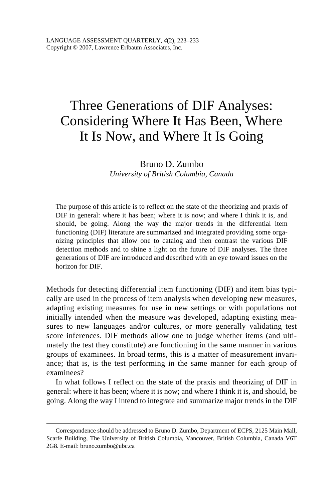# Three Generations of DIF Analyses: Considering Where It Has Been, Where It Is Now, and Where It Is Going

Bruno D. Zumbo *University of British Columbia, Canada*

The purpose of this article is to reflect on the state of the theorizing and praxis of DIF in general: where it has been; where it is now; and where I think it is, and should, be going. Along the way the major trends in the differential item functioning (DIF) literature are summarized and integrated providing some organizing principles that allow one to catalog and then contrast the various DIF detection methods and to shine a light on the future of DIF analyses. The three generations of DIF are introduced and described with an eye toward issues on the horizon for DIF.

Methods for detecting differential item functioning (DIF) and item bias typically are used in the process of item analysis when developing new measures, adapting existing measures for use in new settings or with populations not initially intended when the measure was developed, adapting existing measures to new languages and/or cultures, or more generally validating test score inferences. DIF methods allow one to judge whether items (and ultimately the test they constitute) are functioning in the same manner in various groups of examinees. In broad terms, this is a matter of measurement invariance; that is, is the test performing in the same manner for each group of examinees?

In what follows I reflect on the state of the praxis and theorizing of DIF in general: where it has been; where it is now; and where I think it is, and should, be going. Along the way I intend to integrate and summarize major trends in the DIF

Correspondence should be addressed to Bruno D. Zumbo, Department of ECPS, 2125 Main Mall, Scarfe Building, The University of British Columbia, Vancouver, British Columbia, Canada V6T 2G8. E-mail: bruno.zumbo@ubc.ca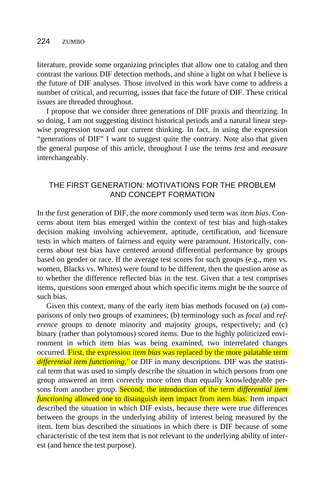literature, provide some organizing principles that allow one to catalog and then contrast the various DIF detection methods, and shine a light on what I believe is the future of DIF analyses. Those involved in this work have come to address a number of critical, and recurring, issues that face the future of DIF. These critical issues are threaded throughout.

I propose that we consider three generations of DIF praxis and theorizing. In so doing, I am not suggesting distinct historical periods and a natural linear stepwise progression toward our current thinking. In fact, in using the expression "generations of DIF" I want to suggest quite the contrary. Note also that given the general purpose of this article, throughout I use the terms *test* and *measure* interchangeably.

# THE FIRST GENERATION: MOTIVATIONS FOR THE PROBLEM AND CONCEPT FORMATION

In the first generation of DIF, the more commonly used term was *item bias*. Concerns about item bias emerged within the context of test bias and high-stakes decision making involving achievement, aptitude, certification, and licensure tests in which matters of fairness and equity were paramount. Historically, concerns about test bias have centered around differential performance by groups based on gender or race. If the average test scores for such groups (e.g., men vs. women, Blacks vs. Whites) were found to be different, then the question arose as to whether the difference reflected bias in the test. Given that a test comprises items, questions soon emerged about which specific items might be the source of such bias.

Given this context, many of the early item bias methods focused on (a) comparisons of only two groups of examinees; (b) terminology such as *focal* and *reference* groups to denote minority and majority groups, respectively; and (c) binary (rather than polytomous) scored items. Due to the highly politicized environment in which item bias was being examined, two interrelated changes occurred. First, the expression *item bias* was replaced by the more palatable term *differential item functioning,*' or DIF in many descriptions. DIF was the statistical term that was used to simply describe the situation in which persons from one group answered an item correctly more often than equally knowledgeable persons from another group. Second, the introduction of the term *differential item functioning* allowed one to distinguish item impact from item bias. Item impact described the situation in which DIF exists, because there were true differences between the groups in the underlying ability of interest being measured by the item. Item bias described the situations in which there is DIF because of some characteristic of the test item that is not relevant to the underlying ability of interest (and hence the test purpose).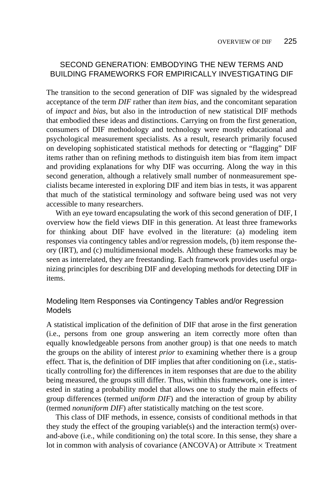# SECOND GENERATION: EMBODYING THE NEW TERMS AND BUILDING FRAMEWORKS FOR EMPIRICALLY INVESTIGATING DIF

The transition to the second generation of DIF was signaled by the widespread acceptance of the term *DIF* rather than *item bias*, and the concomitant separation of *impact* and *bias*, but also in the introduction of new statistical DIF methods that embodied these ideas and distinctions. Carrying on from the first generation, consumers of DIF methodology and technology were mostly educational and psychological measurement specialists. As a result, research primarily focused on developing sophisticated statistical methods for detecting or "flagging" DIF items rather than on refining methods to distinguish item bias from item impact and providing explanations for why DIF was occurring. Along the way in this second generation, although a relatively small number of nonmeasurement specialists became interested in exploring DIF and item bias in tests, it was apparent that much of the statistical terminology and software being used was not very accessible to many researchers.

With an eye toward encapsulating the work of this second generation of DIF, I overview how the field views DIF in this generation. At least three frameworks for thinking about DIF have evolved in the literature: (a) modeling item responses via contingency tables and/or regression models, (b) item response theory (IRT), and (c) multidimensional models. Although these frameworks may be seen as interrelated, they are freestanding. Each framework provides useful organizing principles for describing DIF and developing methods for detecting DIF in items.

## Modeling Item Responses via Contingency Tables and/or Regression Models

A statistical implication of the definition of DIF that arose in the first generation (i.e., persons from one group answering an item correctly more often than equally knowledgeable persons from another group) is that one needs to match the groups on the ability of interest *prior* to examining whether there is a group effect. That is, the definition of DIF implies that after conditioning on (i.e., statistically controlling for) the differences in item responses that are due to the ability being measured, the groups still differ. Thus, within this framework, one is interested in stating a probability model that allows one to study the main effects of group differences (termed *uniform DIF*) and the interaction of group by ability (termed *nonuniform DIF*) after statistically matching on the test score.

This class of DIF methods, in essence, consists of conditional methods in that they study the effect of the grouping variable(s) and the interaction term(s) overand-above (i.e., while conditioning on) the total score. In this sense, they share a lot in common with analysis of covariance (ANCOVA) or Attribute  $\times$  Treatment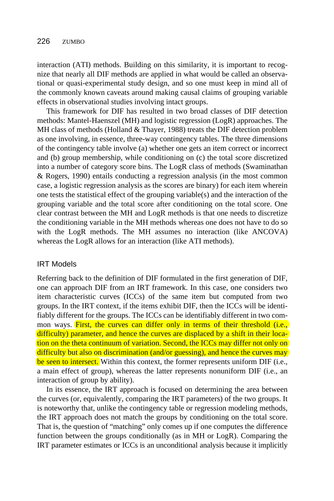interaction (ATI) methods. Building on this similarity, it is important to recognize that nearly all DIF methods are applied in what would be called an observational or quasi-experimental study design, and so one must keep in mind all of the commonly known caveats around making causal claims of grouping variable effects in observational studies involving intact groups.

This framework for DIF has resulted in two broad classes of DIF detection methods: Mantel-Haenszel (MH) and logistic regression (LogR) approaches. The MH class of methods (Holland & Thayer, 1988) treats the DIF detection problem as one involving, in essence, three-way contingency tables. The three dimensions of the contingency table involve (a) whether one gets an item correct or incorrect and (b) group membership, while conditioning on (c) the total score discretized into a number of category score bins. The LogR class of methods (Swaminathan & Rogers, 1990) entails conducting a regression analysis (in the most common case, a logistic regression analysis as the scores are binary) for each item wherein one tests the statistical effect of the grouping variable(s) and the interaction of the grouping variable and the total score after conditioning on the total score. One clear contrast between the MH and LogR methods is that one needs to discretize the conditioning variable in the MH methods whereas one does not have to do so with the LogR methods. The MH assumes no interaction (like ANCOVA) whereas the LogR allows for an interaction (like ATI methods).

#### IRT Models

Referring back to the definition of DIF formulated in the first generation of DIF, one can approach DIF from an IRT framework. In this case, one considers two item characteristic curves (ICCs) of the same item but computed from two groups. In the IRT context, if the items exhibit DIF, then the ICCs will be identifiably different for the groups. The ICCs can be identifiably different in two common ways. First, the curves can differ only in terms of their threshold (i.e., difficulty) parameter, and hence the curves are displaced by a shift in their location on the theta continuum of variation. Second, the ICCs may differ not only on difficulty but also on discrimination (and/or guessing), and hence the curves may be seen to intersect. Within this context, the former represents uniform DIF (i.e., a main effect of group), whereas the latter represents nonuniform DIF (i.e., an interaction of group by ability).

In its essence, the IRT approach is focused on determining the area between the curves (or, equivalently, comparing the IRT parameters) of the two groups. It is noteworthy that, unlike the contingency table or regression modeling methods, the IRT approach does not match the groups by conditioning on the total score. That is, the question of "matching" only comes up if one computes the difference function between the groups conditionally (as in MH or LogR). Comparing the IRT parameter estimates or ICCs is an unconditional analysis because it implicitly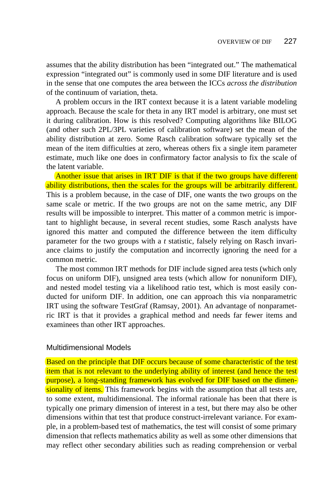assumes that the ability distribution has been "integrated out." The mathematical expression "integrated out" is commonly used in some DIF literature and is used in the sense that one computes the area between the ICCs *across the distribution* of the continuum of variation, theta.

A problem occurs in the IRT context because it is a latent variable modeling approach. Because the scale for theta in any IRT model is arbitrary, one must set it during calibration. How is this resolved? Computing algorithms like BILOG (and other such 2PL/3PL varieties of calibration software) set the mean of the ability distribution at zero. Some Rasch calibration software typically set the mean of the item difficulties at zero, whereas others fix a single item parameter estimate, much like one does in confirmatory factor analysis to fix the scale of the latent variable.

Another issue that arises in IRT DIF is that if the two groups have different ability distributions, then the scales for the groups will be arbitrarily different. This is a problem because, in the case of DIF, one wants the two groups on the same scale or metric. If the two groups are not on the same metric, any DIF results will be impossible to interpret. This matter of a common metric is important to highlight because, in several recent studies, some Rasch analysts have ignored this matter and computed the difference between the item difficulty parameter for the two groups with a *t* statistic, falsely relying on Rasch invariance claims to justify the computation and incorrectly ignoring the need for a common metric.

The most common IRT methods for DIF include signed area tests (which only focus on uniform DIF), unsigned area tests (which allow for nonuniform DIF), and nested model testing via a likelihood ratio test, which is most easily conducted for uniform DIF. In addition, one can approach this via nonparametric IRT using the software TestGraf (Ramsay, 2001). An advantage of nonparametric IRT is that it provides a graphical method and needs far fewer items and examinees than other IRT approaches.

#### Multidimensional Models

Based on the principle that DIF occurs because of some characteristic of the test item that is not relevant to the underlying ability of interest (and hence the test purpose), a long-standing framework has evolved for DIF based on the dimensionality of items. This framework begins with the assumption that all tests are, to some extent, multidimensional. The informal rationale has been that there is typically one primary dimension of interest in a test, but there may also be other dimensions within that test that produce construct-irrelevant variance. For example, in a problem-based test of mathematics, the test will consist of some primary dimension that reflects mathematics ability as well as some other dimensions that may reflect other secondary abilities such as reading comprehension or verbal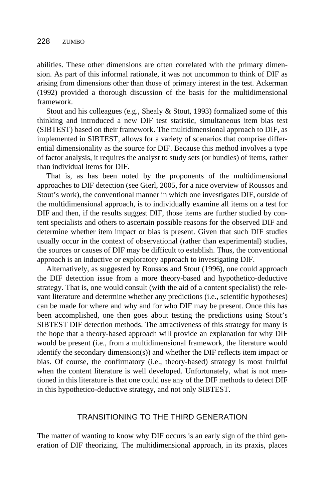abilities. These other dimensions are often correlated with the primary dimension. As part of this informal rationale, it was not uncommon to think of DIF as arising from dimensions other than those of primary interest in the test. Ackerman (1992) provided a thorough discussion of the basis for the multidimensional framework.

Stout and his colleagues (e.g., Shealy & Stout, 1993) formalized some of this thinking and introduced a new DIF test statistic, simultaneous item bias test (SIBTEST) based on their framework. The multidimensional approach to DIF, as implemented in SIBTEST, allows for a variety of scenarios that comprise differential dimensionality as the source for DIF. Because this method involves a type of factor analysis, it requires the analyst to study sets (or bundles) of items, rather than individual items for DIF.

That is, as has been noted by the proponents of the multidimensional approaches to DIF detection (see Gierl, 2005, for a nice overview of Roussos and Stout's work), the conventional manner in which one investigates DIF, outside of the multidimensional approach, is to individually examine all items on a test for DIF and then, if the results suggest DIF, those items are further studied by content specialists and others to ascertain possible reasons for the observed DIF and determine whether item impact or bias is present. Given that such DIF studies usually occur in the context of observational (rather than experimental) studies, the sources or causes of DIF may be difficult to establish. Thus, the conventional approach is an inductive or exploratory approach to investigating DIF.

Alternatively, as suggested by Roussos and Stout (1996), one could approach the DIF detection issue from a more theory-based and hypothetico-deductive strategy. That is, one would consult (with the aid of a content specialist) the relevant literature and determine whether any predictions (i.e., scientific hypotheses) can be made for where and why and for who DIF may be present. Once this has been accomplished, one then goes about testing the predictions using Stout's SIBTEST DIF detection methods. The attractiveness of this strategy for many is the hope that a theory-based approach will provide an explanation for why DIF would be present (i.e., from a multidimensional framework, the literature would identify the secondary dimension(s)) and whether the DIF reflects item impact or bias. Of course, the confirmatory (i.e., theory-based) strategy is most fruitful when the content literature is well developed. Unfortunately, what is not mentioned in this literature is that one could use any of the DIF methods to detect DIF in this hypothetico-deductive strategy, and not only SIBTEST.

# TRANSITIONING TO THE THIRD GENERATION

The matter of wanting to know why DIF occurs is an early sign of the third generation of DIF theorizing. The multidimensional approach, in its praxis, places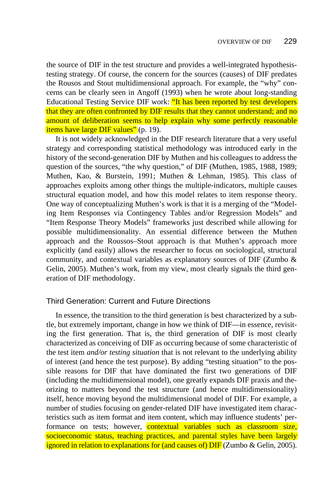the source of DIF in the test structure and provides a well-integrated hypothesistesting strategy. Of course, the concern for the sources (causes) of DIF predates the Rousos and Stout multidimensional approach. For example, the "why" concerns can be clearly seen in Angoff (1993) when he wrote about long-standing Educational Testing Service DIF work: "It has been reported by test developers that they are often confronted by DIF results that they cannot understand; and no amount of deliberation seems to help explain why some perfectly reasonable items have large DIF values" (p. 19).

It is not widely acknowledged in the DIF research literature that a very useful strategy and corresponding statistical methodology was introduced early in the history of the second-generation DIF by Muthen and his colleagues to address the question of the sources, "the why question," of DIF (Muthen, 1985, 1988, 1989; Muthen, Kao, & Burstein, 1991; Muthen & Lehman, 1985). This class of approaches exploits among other things the multiple-indicators, multiple causes structural equation model, and how this model relates to item response theory. One way of conceptualizing Muthen's work is that it is a merging of the "Modeling Item Responses via Contingency Tables and/or Regression Models" and "Item Response Theory Models" frameworks just described while allowing for possible multidimensionality. An essential difference between the Muthen approach and the Roussos–Stout approach is that Muthen's approach more explicitly (and easily) allows the researcher to focus on sociological, structural community, and contextual variables as explanatory sources of DIF (Zumbo & Gelin, 2005). Muthen's work, from my view, most clearly signals the third generation of DIF methodology.

## Third Generation: Current and Future Directions

In essence, the transition to the third generation is best characterized by a subtle, but extremely important, change in how we think of DIF—in essence, revisiting the first generation. That is, the third generation of DIF is most clearly characterized as conceiving of DIF as occurring because of some characteristic of the test item *and/or testing situation* that is not relevant to the underlying ability of interest (and hence the test purpose). By adding "testing situation" to the possible reasons for DIF that have dominated the first two generations of DIF (including the multidimensional model), one greatly expands DIF praxis and theorizing to matters beyond the test structure (and hence multidimensionality) itself, hence moving beyond the multidimensional model of DIF. For example, a number of studies focusing on gender-related DIF have investigated item characteristics such as item format and item content, which may influence students' performance on tests; however, contextual variables such as classroom size, socioeconomic status, teaching practices, and parental styles have been largely ignored in relation to explanations for (and causes of)  $\overline{DIF}$  (Zumbo & Gelin, 2005).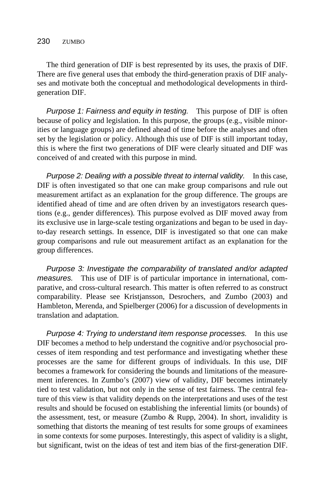The third generation of DIF is best represented by its uses, the praxis of DIF. There are five general uses that embody the third-generation praxis of DIF analyses and motivate both the conceptual and methodological developments in thirdgeneration DIF.

*Purpose 1: Fairness and equity in testing.* This purpose of DIF is often because of policy and legislation. In this purpose, the groups (e.g., visible minorities or language groups) are defined ahead of time before the analyses and often set by the legislation or policy. Although this use of DIF is still important today, this is where the first two generations of DIF were clearly situated and DIF was conceived of and created with this purpose in mind.

*Purpose 2: Dealing with a possible threat to internal validity.* In this case, DIF is often investigated so that one can make group comparisons and rule out measurement artifact as an explanation for the group difference. The groups are identified ahead of time and are often driven by an investigators research questions (e.g., gender differences). This purpose evolved as DIF moved away from its exclusive use in large-scale testing organizations and began to be used in dayto-day research settings. In essence, DIF is investigated so that one can make group comparisons and rule out measurement artifact as an explanation for the group differences.

*Purpose 3: Investigate the comparability of translated and/or adapted measures.* This use of DIF is of particular importance in international, comparative, and cross-cultural research. This matter is often referred to as construct comparability. Please see Kristjansson, Desrochers, and Zumbo (2003) and Hambleton, Merenda, and Spielberger (2006) for a discussion of developments in translation and adaptation.

*Purpose 4: Trying to understand item response processes.* In this use DIF becomes a method to help understand the cognitive and/or psychosocial processes of item responding and test performance and investigating whether these processes are the same for different groups of individuals. In this use, DIF becomes a framework for considering the bounds and limitations of the measurement inferences. In Zumbo's (2007) view of validity, DIF becomes intimately tied to test validation, but not only in the sense of test fairness. The central feature of this view is that validity depends on the interpretations and uses of the test results and should be focused on establishing the inferential limits (or bounds) of the assessment, test, or measure (Zumbo & Rupp, 2004). In short, invalidity is something that distorts the meaning of test results for some groups of examinees in some contexts for some purposes. Interestingly, this aspect of validity is a slight, but significant, twist on the ideas of test and item bias of the first-generation DIF.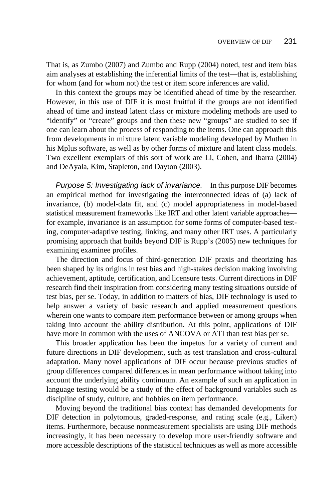That is, as Zumbo (2007) and Zumbo and Rupp (2004) noted, test and item bias aim analyses at establishing the inferential limits of the test—that is, establishing for whom (and for whom not) the test or item score inferences are valid.

In this context the groups may be identified ahead of time by the researcher. However, in this use of DIF it is most fruitful if the groups are not identified ahead of time and instead latent class or mixture modeling methods are used to "identify" or "create" groups and then these new "groups" are studied to see if one can learn about the process of responding to the items. One can approach this from developments in mixture latent variable modeling developed by Muthen in his Mplus software, as well as by other forms of mixture and latent class models. Two excellent exemplars of this sort of work are Li, Cohen, and Ibarra (2004) and DeAyala, Kim, Stapleton, and Dayton (2003).

*Purpose 5: Investigating lack of invariance.* In this purpose DIF becomes an empirical method for investigating the interconnected ideas of (a) lack of invariance, (b) model-data fit, and (c) model appropriateness in model-based statistical measurement frameworks like IRT and other latent variable approaches for example, invariance is an assumption for some forms of computer-based testing, computer-adaptive testing, linking, and many other IRT uses. A particularly promising approach that builds beyond DIF is Rupp's (2005) new techniques for examining examinee profiles.

The direction and focus of third-generation DIF praxis and theorizing has been shaped by its origins in test bias and high-stakes decision making involving achievement, aptitude, certification, and licensure tests. Current directions in DIF research find their inspiration from considering many testing situations outside of test bias, per se. Today, in addition to matters of bias, DIF technology is used to help answer a variety of basic research and applied measurement questions wherein one wants to compare item performance between or among groups when taking into account the ability distribution. At this point, applications of DIF have more in common with the uses of ANCOVA or ATI than test bias per se.

This broader application has been the impetus for a variety of current and future directions in DIF development, such as test translation and cross-cultural adaptation. Many novel applications of DIF occur because previous studies of group differences compared differences in mean performance without taking into account the underlying ability continuum. An example of such an application in language testing would be a study of the effect of background variables such as discipline of study, culture, and hobbies on item performance.

Moving beyond the traditional bias context has demanded developments for DIF detection in polytomous, graded-response, and rating scale (e.g., Likert) items. Furthermore, because nonmeasurement specialists are using DIF methods increasingly, it has been necessary to develop more user-friendly software and more accessible descriptions of the statistical techniques as well as more accessible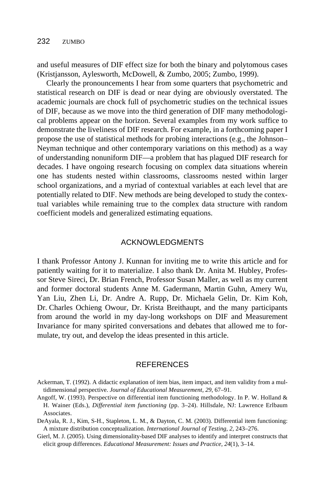and useful measures of DIF effect size for both the binary and polytomous cases (Kristjansson, Aylesworth, McDowell, & Zumbo, 2005; Zumbo, 1999).

Clearly the pronouncements I hear from some quarters that psychometric and statistical research on DIF is dead or near dying are obviously overstated. The academic journals are chock full of psychometric studies on the technical issues of DIF, because as we move into the third generation of DIF many methodological problems appear on the horizon. Several examples from my work suffice to demonstrate the liveliness of DIF research. For example, in a forthcoming paper I propose the use of statistical methods for probing interactions (e.g., the Johnson– Neyman technique and other contemporary variations on this method) as a way of understanding nonuniform DIF—a problem that has plagued DIF research for decades. I have ongoing research focusing on complex data situations wherein one has students nested within classrooms, classrooms nested within larger school organizations, and a myriad of contextual variables at each level that are potentially related to DIF. New methods are being developed to study the contextual variables while remaining true to the complex data structure with random coefficient models and generalized estimating equations.

#### ACKNOWLEDGMENTS

I thank Professor Antony J. Kunnan for inviting me to write this article and for patiently waiting for it to materialize. I also thank Dr. Anita M. Hubley, Professor Steve Sireci, Dr. Brian French, Professor Susan Maller, as well as my current and former doctoral students Anne M. Gadermann, Martin Guhn, Amery Wu, Yan Liu, Zhen Li, Dr. Andre A. Rupp, Dr. Michaela Gelin, Dr. Kim Koh, Dr. Charles Ochieng Owour, Dr. Krista Breithaupt, and the many participants from around the world in my day-long workshops on DIF and Measurement Invariance for many spirited conversations and debates that allowed me to formulate, try out, and develop the ideas presented in this article.

## **REFERENCES**

- Angoff, W. (1993). Perspective on differential item functioning methodology. In P. W. Holland & H. Wainer (Eds.), *Differential item functioning* (pp. 3–24). Hillsdale, NJ: Lawrence Erlbaum Associates.
- DeAyala, R. J., Kim, S-H., Stapleton, L. M., & Dayton, C. M. (2003). Differential item functioning: A mixture distribution conceptualization. *International Journal of Testing, 2,* 243–276.

Gierl, M. J. (2005). Using dimensionality-based DIF analyses to identify and interpret constructs that elicit group differences. *Educational Measurement: Issues and Practice, 24*(1), 3–14.

Ackerman, T. (1992). A didactic explanation of item bias, item impact, and item validity from a multidimensional perspective. *Journal of Educational Measurement, 29*, 67–91.